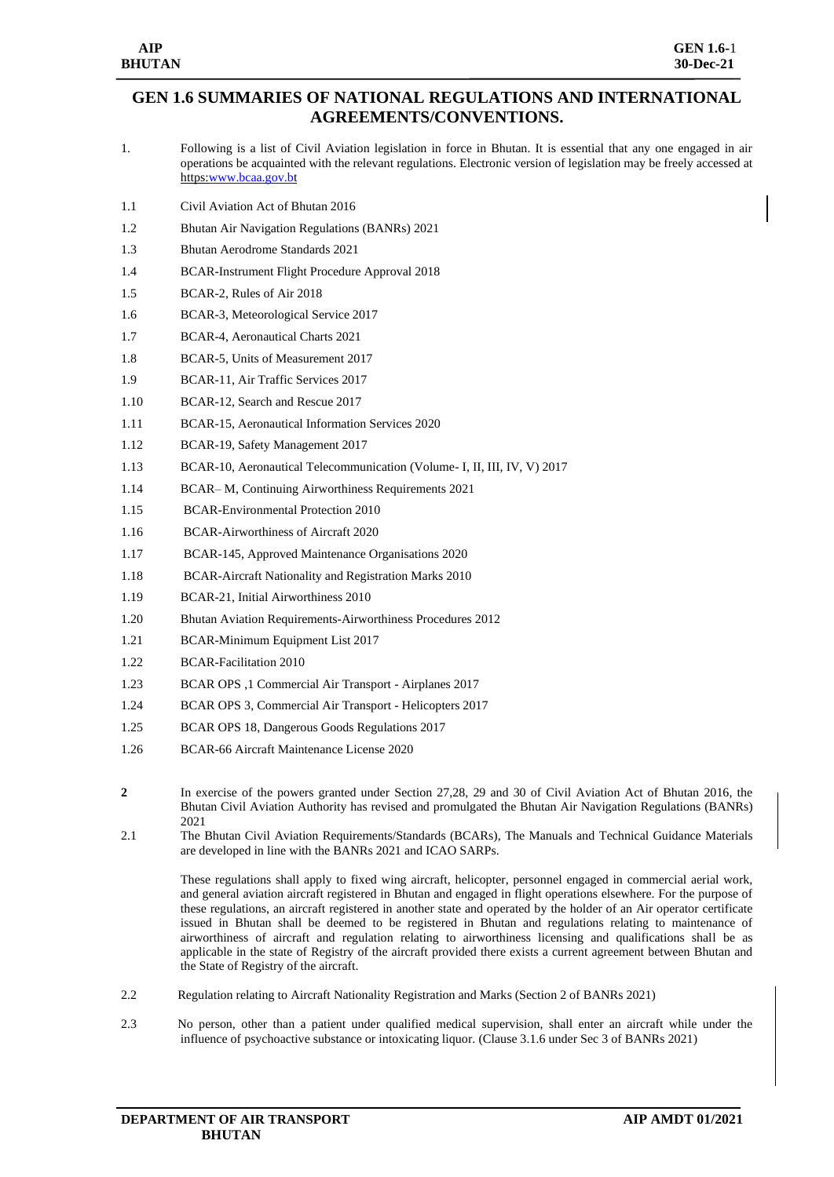## **GEN 1.6 SUMMARIES OF NATIONAL REGULATIONS AND INTERNATIONAL AGREEMENTS/CONVENTIONS.**

- 1. Following is a list of Civil Aviation legislation in force in Bhutan. It is essential that any one engaged in air operations be acquainted with the relevant regulations. Electronic version of legislation may be freely accessed at https[:www.bcaa.gov.bt](http://www.bcaa.gov.b/)
- 1.1 Civil Aviation Act of Bhutan 2016
- 1.2 Bhutan Air Navigation Regulations (BANRs) 2021
- 1.3 Bhutan Aerodrome Standards 2021
- 1.4 BCAR-Instrument Flight Procedure Approval 2018
- 1.5 BCAR-2, Rules of Air 2018
- 1.6 BCAR-3, Meteorological Service 2017
- 1.7 BCAR-4, Aeronautical Charts 2021
- 1.8 BCAR-5, Units of Measurement 2017
- 1.9 BCAR-11, Air Traffic Services 2017
- 1.10 BCAR-12, Search and Rescue 2017
- 1.11 BCAR-15, Aeronautical Information Services 2020
- 1.12 BCAR-19, Safety Management 2017
- 1.13 BCAR-10, Aeronautical Telecommunication (Volume- I, II, III, IV, V) 2017
- 1.14 BCAR– M, Continuing Airworthiness Requirements 2021
- 1.15 BCAR-Environmental Protection 2010
- 1.16 BCAR-Airworthiness of Aircraft 2020
- 1.17 BCAR-145, Approved Maintenance Organisations 2020
- 1.18 BCAR-Aircraft Nationality and Registration Marks 2010
- 1.19 BCAR-21, Initial Airworthiness 2010
- 1.20 Bhutan Aviation Requirements-Airworthiness Procedures 2012
- 1.21 BCAR-Minimum Equipment List 2017
- 1.22 BCAR-Facilitation 2010
- 1.23 BCAR OPS ,1 Commercial Air Transport Airplanes 2017
- 1.24 BCAR OPS 3, Commercial Air Transport Helicopters 2017
- 1.25 BCAR OPS 18, Dangerous Goods Regulations 2017
- 1.26 BCAR-66 Aircraft Maintenance License 2020
- **2** In exercise of the powers granted under Section 27,28, 29 and 30 of Civil Aviation Act of Bhutan 2016, the Bhutan Civil Aviation Authority has revised and promulgated the Bhutan Air Navigation Regulations (BANRs) 2021
- 2.1 The Bhutan Civil Aviation Requirements/Standards (BCARs), The Manuals and Technical Guidance Materials are developed in line with the BANRs 2021 and ICAO SARPs.

These regulations shall apply to fixed wing aircraft, helicopter, personnel engaged in commercial aerial work, and general aviation aircraft registered in Bhutan and engaged in flight operations elsewhere. For the purpose of these regulations, an aircraft registered in another state and operated by the holder of an Air operator certificate issued in Bhutan shall be deemed to be registered in Bhutan and regulations relating to maintenance of airworthiness of aircraft and regulation relating to airworthiness licensing and qualifications shall be as applicable in the state of Registry of the aircraft provided there exists a current agreement between Bhutan and the State of Registry of the aircraft.

- 2.2 Regulation relating to Aircraft Nationality Registration and Marks (Section 2 of BANRs 2021)
- 2.3 No person, other than a patient under qualified medical supervision, shall enter an aircraft while under the influence of psychoactive substance or intoxicating liquor. (Clause 3.1.6 under Sec 3 of BANRs 2021)